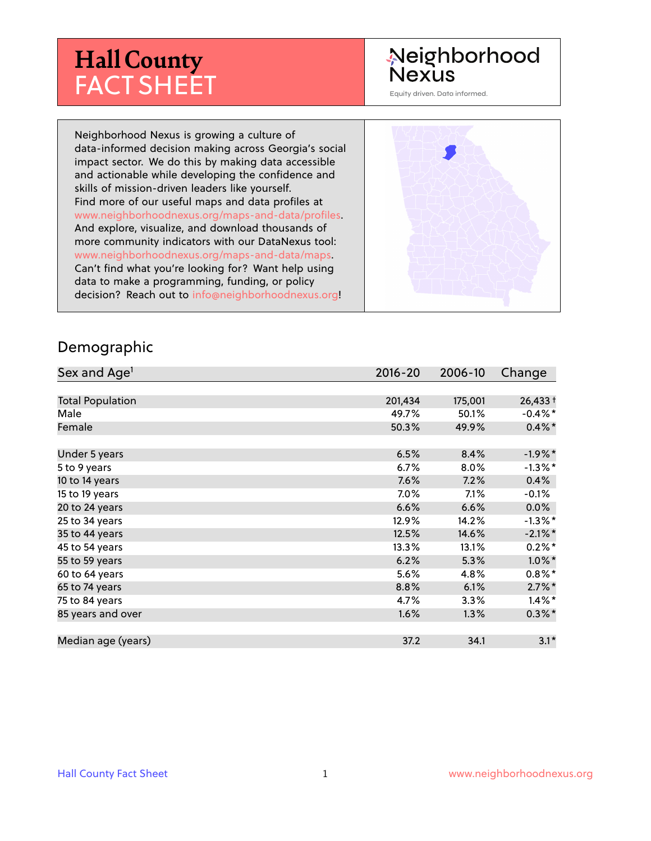# **Hall County** FACT SHEET

# Neighborhood **Nexus**

Equity driven. Data informed.

Neighborhood Nexus is growing a culture of data-informed decision making across Georgia's social impact sector. We do this by making data accessible and actionable while developing the confidence and skills of mission-driven leaders like yourself. Find more of our useful maps and data profiles at www.neighborhoodnexus.org/maps-and-data/profiles. And explore, visualize, and download thousands of more community indicators with our DataNexus tool: www.neighborhoodnexus.org/maps-and-data/maps. Can't find what you're looking for? Want help using data to make a programming, funding, or policy decision? Reach out to [info@neighborhoodnexus.org!](mailto:info@neighborhoodnexus.org)



#### Demographic

| Sex and Age <sup>1</sup> | $2016 - 20$ | 2006-10 | Change     |
|--------------------------|-------------|---------|------------|
|                          |             |         |            |
| <b>Total Population</b>  | 201,434     | 175,001 | $26,433+$  |
| Male                     | 49.7%       | 50.1%   | $-0.4\%$ * |
| Female                   | 50.3%       | 49.9%   | $0.4\% *$  |
|                          |             |         |            |
| Under 5 years            | 6.5%        | 8.4%    | $-1.9%$ *  |
| 5 to 9 years             | 6.7%        | 8.0%    | $-1.3\%$ * |
| 10 to 14 years           | 7.6%        | 7.2%    | 0.4%       |
| 15 to 19 years           | 7.0%        | 7.1%    | $-0.1%$    |
| 20 to 24 years           | 6.6%        | 6.6%    | $0.0\%$    |
| 25 to 34 years           | 12.9%       | 14.2%   | $-1.3\%$ * |
| 35 to 44 years           | 12.5%       | 14.6%   | $-2.1\%$ * |
| 45 to 54 years           | 13.3%       | 13.1%   | $0.2\%$ *  |
| 55 to 59 years           | 6.2%        | 5.3%    | $1.0\%$ *  |
| 60 to 64 years           | 5.6%        | 4.8%    | $0.8\%$ *  |
| 65 to 74 years           | 8.8%        | 6.1%    | $2.7\%$ *  |
| 75 to 84 years           | 4.7%        | 3.3%    | $1.4\%$ *  |
| 85 years and over        | 1.6%        | 1.3%    | $0.3\%$ *  |
|                          |             |         |            |
| Median age (years)       | 37.2        | 34.1    | $3.1*$     |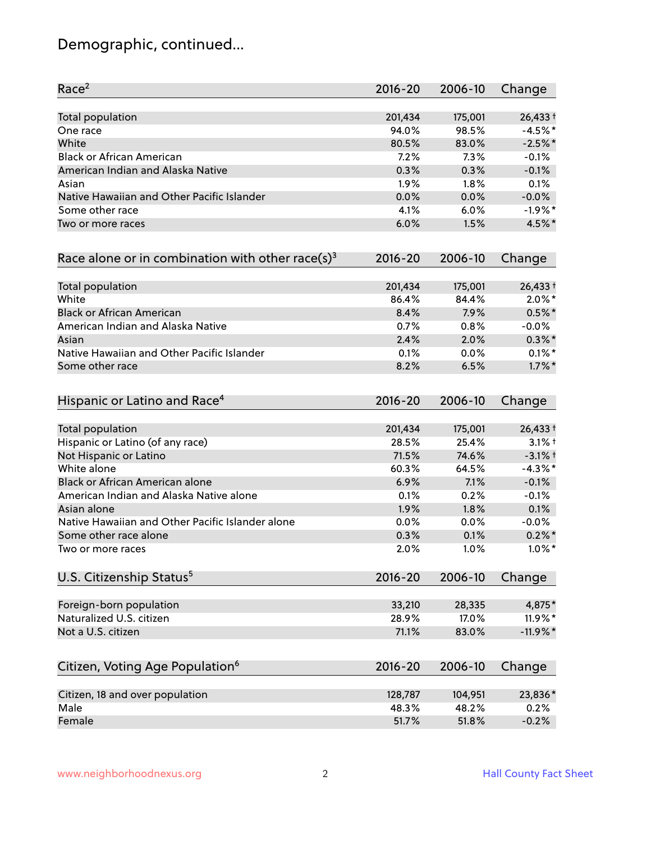# Demographic, continued...

| Race <sup>2</sup>                                            | $2016 - 20$ | 2006-10 | Change     |
|--------------------------------------------------------------|-------------|---------|------------|
| <b>Total population</b>                                      | 201,434     | 175,001 | 26,433 +   |
| One race                                                     | 94.0%       | 98.5%   | $-4.5%$ *  |
| White                                                        | 80.5%       | 83.0%   | $-2.5%$ *  |
| <b>Black or African American</b>                             | 7.2%        | 7.3%    | $-0.1%$    |
| American Indian and Alaska Native                            | 0.3%        | 0.3%    | $-0.1%$    |
| Asian                                                        | 1.9%        | $1.8\%$ | 0.1%       |
| Native Hawaiian and Other Pacific Islander                   | 0.0%        | 0.0%    | $-0.0%$    |
| Some other race                                              | 4.1%        | 6.0%    | $-1.9%$ *  |
| Two or more races                                            | 6.0%        | 1.5%    | 4.5%*      |
| Race alone or in combination with other race(s) <sup>3</sup> | $2016 - 20$ | 2006-10 | Change     |
| Total population                                             | 201,434     | 175,001 | 26,433 +   |
| White                                                        | 86.4%       | 84.4%   | $2.0\%$ *  |
| <b>Black or African American</b>                             | 8.4%        | 7.9%    | $0.5%$ *   |
| American Indian and Alaska Native                            | 0.7%        | 0.8%    | $-0.0%$    |
| Asian                                                        | 2.4%        | 2.0%    | $0.3\%$ *  |
| Native Hawaiian and Other Pacific Islander                   | 0.1%        | 0.0%    | $0.1\%$ *  |
| Some other race                                              | 8.2%        | 6.5%    | $1.7\%$ *  |
| Hispanic or Latino and Race <sup>4</sup>                     | $2016 - 20$ | 2006-10 | Change     |
| Total population                                             | 201,434     | 175,001 | $26,433+$  |
| Hispanic or Latino (of any race)                             | 28.5%       | 25.4%   | $3.1\%$ t  |
| Not Hispanic or Latino                                       | 71.5%       | 74.6%   | $-3.1%$ †  |
| White alone                                                  | 60.3%       | 64.5%   | $-4.3\%$ * |
| Black or African American alone                              | 6.9%        | 7.1%    | $-0.1%$    |
| American Indian and Alaska Native alone                      | 0.1%        | 0.2%    | $-0.1%$    |
| Asian alone                                                  | 1.9%        | 1.8%    | 0.1%       |
| Native Hawaiian and Other Pacific Islander alone             | 0.0%        | 0.0%    | $-0.0%$    |
| Some other race alone                                        | 0.3%        | 0.1%    | $0.2\% *$  |
| Two or more races                                            | 2.0%        | 1.0%    | $1.0\%$ *  |
| U.S. Citizenship Status <sup>5</sup>                         | $2016 - 20$ | 2006-10 | Change     |
| Foreign-born population                                      | 33,210      | 28,335  | 4,875*     |
| Naturalized U.S. citizen                                     | 28.9%       | 17.0%   | 11.9%*     |
| Not a U.S. citizen                                           | 71.1%       | 83.0%   | $-11.9%$   |
| Citizen, Voting Age Population <sup>6</sup>                  | $2016 - 20$ | 2006-10 | Change     |
|                                                              |             |         |            |
| Citizen, 18 and over population                              | 128,787     | 104,951 | 23,836*    |
| Male                                                         | 48.3%       | 48.2%   | 0.2%       |
| Female                                                       | 51.7%       | 51.8%   | $-0.2%$    |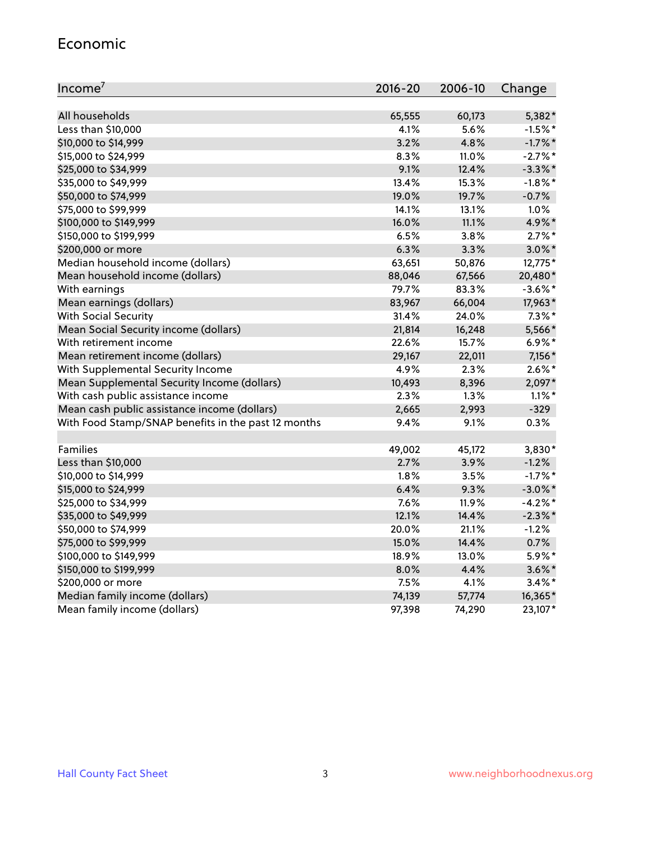#### Economic

| Income <sup>7</sup>                                 | 2016-20 | 2006-10 | Change     |
|-----------------------------------------------------|---------|---------|------------|
|                                                     |         |         |            |
| All households                                      | 65,555  | 60,173  | 5,382*     |
| Less than \$10,000                                  | 4.1%    | 5.6%    | $-1.5%$ *  |
| \$10,000 to \$14,999                                | 3.2%    | 4.8%    | $-1.7\%$ * |
| \$15,000 to \$24,999                                | 8.3%    | 11.0%   | $-2.7\%$ * |
| \$25,000 to \$34,999                                | 9.1%    | 12.4%   | $-3.3\%$ * |
| \$35,000 to \$49,999                                | 13.4%   | 15.3%   | $-1.8\%$ * |
| \$50,000 to \$74,999                                | 19.0%   | 19.7%   | $-0.7%$    |
| \$75,000 to \$99,999                                | 14.1%   | 13.1%   | 1.0%       |
| \$100,000 to \$149,999                              | 16.0%   | 11.1%   | 4.9%*      |
| \$150,000 to \$199,999                              | 6.5%    | 3.8%    | $2.7\%$ *  |
| \$200,000 or more                                   | 6.3%    | 3.3%    | $3.0\%$ *  |
| Median household income (dollars)                   | 63,651  | 50,876  | 12,775*    |
| Mean household income (dollars)                     | 88,046  | 67,566  | 20,480*    |
| With earnings                                       | 79.7%   | 83.3%   | $-3.6\%$ * |
| Mean earnings (dollars)                             | 83,967  | 66,004  | 17,963*    |
| <b>With Social Security</b>                         | 31.4%   | 24.0%   | $7.3\%$ *  |
| Mean Social Security income (dollars)               | 21,814  | 16,248  | 5,566*     |
| With retirement income                              | 22.6%   | 15.7%   | $6.9\%$ *  |
| Mean retirement income (dollars)                    | 29,167  | 22,011  | 7,156 *    |
| With Supplemental Security Income                   | 4.9%    | 2.3%    | $2.6\%$ *  |
| Mean Supplemental Security Income (dollars)         | 10,493  | 8,396   | 2,097*     |
| With cash public assistance income                  | 2.3%    | 1.3%    | $1.1\%$ *  |
| Mean cash public assistance income (dollars)        | 2,665   | 2,993   | $-329$     |
| With Food Stamp/SNAP benefits in the past 12 months | 9.4%    | 9.1%    | 0.3%       |
|                                                     |         |         |            |
| Families                                            | 49,002  | 45,172  | 3,830*     |
| Less than \$10,000                                  | 2.7%    | 3.9%    | $-1.2%$    |
| \$10,000 to \$14,999                                | 1.8%    | 3.5%    | $-1.7%$ *  |
| \$15,000 to \$24,999                                | 6.4%    | 9.3%    | $-3.0\%$ * |
| \$25,000 to \$34,999                                | 7.6%    | 11.9%   | $-4.2%$ *  |
| \$35,000 to \$49,999                                | 12.1%   | 14.4%   | $-2.3\%$ * |
| \$50,000 to \$74,999                                | 20.0%   | 21.1%   | $-1.2%$    |
| \$75,000 to \$99,999                                | 15.0%   | 14.4%   | 0.7%       |
| \$100,000 to \$149,999                              | 18.9%   | 13.0%   | 5.9%*      |
| \$150,000 to \$199,999                              | 8.0%    | 4.4%    | $3.6\%$ *  |
| \$200,000 or more                                   | 7.5%    | 4.1%    | $3.4\%$ *  |
| Median family income (dollars)                      | 74,139  | 57,774  | 16,365*    |
| Mean family income (dollars)                        | 97,398  | 74,290  | 23,107*    |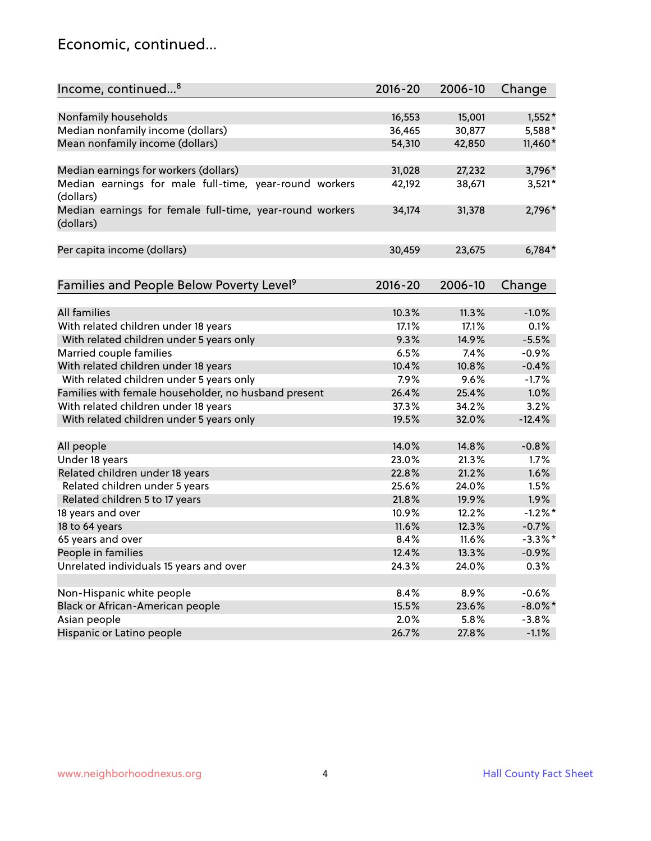### Economic, continued...

| Income, continued <sup>8</sup>                                        | $2016 - 20$ | 2006-10 | Change     |
|-----------------------------------------------------------------------|-------------|---------|------------|
|                                                                       |             |         |            |
| Nonfamily households                                                  | 16,553      | 15,001  | $1,552*$   |
| Median nonfamily income (dollars)                                     | 36,465      | 30,877  | 5,588*     |
| Mean nonfamily income (dollars)                                       | 54,310      | 42,850  | 11,460*    |
| Median earnings for workers (dollars)                                 | 31,028      | 27,232  | 3,796*     |
| Median earnings for male full-time, year-round workers<br>(dollars)   | 42,192      | 38,671  | $3,521*$   |
| Median earnings for female full-time, year-round workers<br>(dollars) | 34,174      | 31,378  | 2,796*     |
| Per capita income (dollars)                                           | 30,459      | 23,675  | $6,784*$   |
|                                                                       |             |         |            |
| Families and People Below Poverty Level <sup>9</sup>                  | $2016 - 20$ | 2006-10 | Change     |
| <b>All families</b>                                                   | 10.3%       | 11.3%   | $-1.0%$    |
| With related children under 18 years                                  | 17.1%       | 17.1%   | 0.1%       |
| With related children under 5 years only                              | 9.3%        | 14.9%   | $-5.5%$    |
| Married couple families                                               | 6.5%        | 7.4%    | $-0.9%$    |
| With related children under 18 years                                  | 10.4%       | 10.8%   | $-0.4%$    |
| With related children under 5 years only                              | 7.9%        | 9.6%    | $-1.7%$    |
| Families with female householder, no husband present                  | 26.4%       | 25.4%   | 1.0%       |
| With related children under 18 years                                  | 37.3%       | 34.2%   | 3.2%       |
| With related children under 5 years only                              | 19.5%       | 32.0%   | $-12.4%$   |
|                                                                       |             |         |            |
| All people                                                            | 14.0%       | 14.8%   | $-0.8%$    |
| Under 18 years                                                        | 23.0%       | 21.3%   | 1.7%       |
| Related children under 18 years                                       | 22.8%       | 21.2%   | 1.6%       |
| Related children under 5 years                                        | 25.6%       | 24.0%   | 1.5%       |
| Related children 5 to 17 years                                        | 21.8%       | 19.9%   | 1.9%       |
| 18 years and over                                                     | 10.9%       | 12.2%   | $-1.2%$ *  |
| 18 to 64 years                                                        | 11.6%       | 12.3%   | $-0.7%$    |
| 65 years and over                                                     | 8.4%        | 11.6%   | $-3.3\%$ * |
| People in families                                                    | 12.4%       | 13.3%   | $-0.9%$    |
| Unrelated individuals 15 years and over                               | 24.3%       | 24.0%   | 0.3%       |
|                                                                       |             |         |            |
| Non-Hispanic white people                                             | 8.4%        | 8.9%    | $-0.6%$    |
| Black or African-American people                                      | 15.5%       | 23.6%   | $-8.0\%$ * |
| Asian people                                                          | 2.0%        | 5.8%    | $-3.8%$    |
| Hispanic or Latino people                                             | 26.7%       | 27.8%   | $-1.1%$    |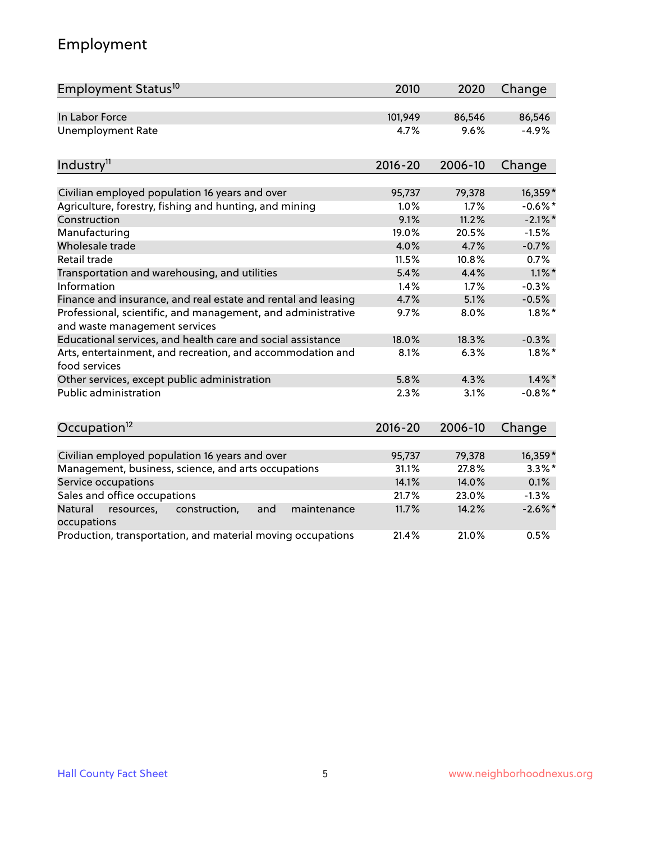# Employment

| Employment Status <sup>10</sup>                                                               | 2010        | 2020    | Change     |
|-----------------------------------------------------------------------------------------------|-------------|---------|------------|
| In Labor Force                                                                                | 101,949     | 86,546  | 86,546     |
| <b>Unemployment Rate</b>                                                                      | 4.7%        | 9.6%    | $-4.9%$    |
| Industry <sup>11</sup>                                                                        | $2016 - 20$ | 2006-10 | Change     |
| Civilian employed population 16 years and over                                                | 95,737      | 79,378  | 16,359*    |
| Agriculture, forestry, fishing and hunting, and mining                                        | 1.0%        | 1.7%    | $-0.6%$ *  |
| Construction                                                                                  | 9.1%        | 11.2%   | $-2.1\%$ * |
| Manufacturing                                                                                 | 19.0%       | 20.5%   | $-1.5%$    |
| Wholesale trade                                                                               | 4.0%        | 4.7%    | $-0.7%$    |
| Retail trade                                                                                  | 11.5%       | 10.8%   | 0.7%       |
| Transportation and warehousing, and utilities                                                 | 5.4%        | 4.4%    | $1.1\%$ *  |
| Information                                                                                   | 1.4%        | 1.7%    | $-0.3%$    |
| Finance and insurance, and real estate and rental and leasing                                 | 4.7%        | 5.1%    | $-0.5%$    |
| Professional, scientific, and management, and administrative<br>and waste management services | 9.7%        | 8.0%    | $1.8\%$ *  |
| Educational services, and health care and social assistance                                   | 18.0%       | 18.3%   | $-0.3%$    |
| Arts, entertainment, and recreation, and accommodation and<br>food services                   | 8.1%        | 6.3%    | $1.8\%$ *  |
| Other services, except public administration                                                  | 5.8%        | 4.3%    | $1.4\%$ *  |
| <b>Public administration</b>                                                                  | 2.3%        | 3.1%    | $-0.8\%$ * |
| Occupation <sup>12</sup>                                                                      | $2016 - 20$ | 2006-10 | Change     |
| Civilian employed population 16 years and over                                                | 95,737      | 79,378  | 16,359*    |
| Management, business, science, and arts occupations                                           | 31.1%       | 27.8%   | $3.3\%$ *  |
| Service occupations                                                                           | 14.1%       | 14.0%   | 0.1%       |
| Sales and office occupations                                                                  | 21.7%       | 23.0%   | $-1.3%$    |
| Natural<br>resources,<br>construction,<br>and<br>maintenance<br>occupations                   | 11.7%       | 14.2%   | $-2.6\%$ * |
| Production, transportation, and material moving occupations                                   | 21.4%       | 21.0%   | 0.5%       |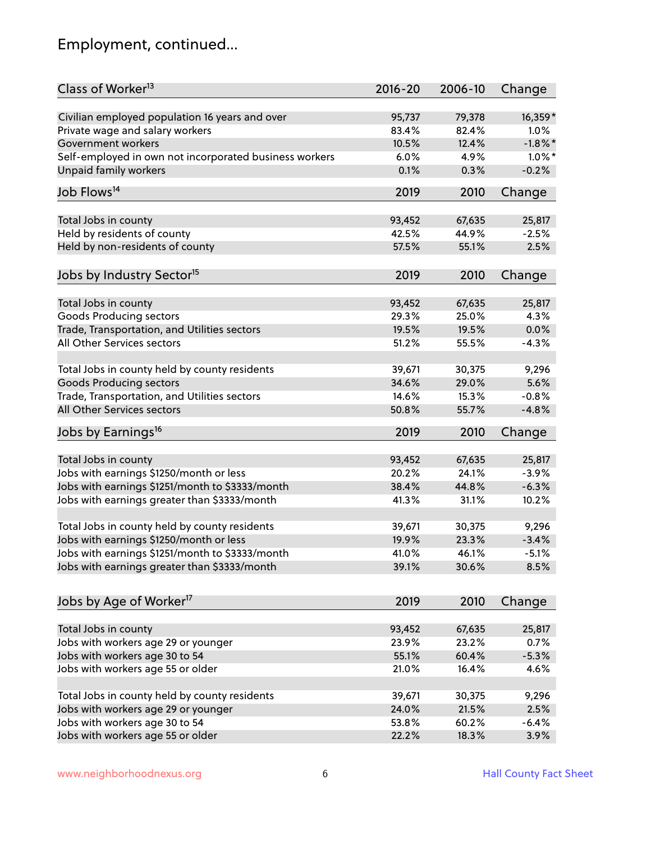# Employment, continued...

| Class of Worker <sup>13</sup>                                         | $2016 - 20$     | 2006-10         | Change         |
|-----------------------------------------------------------------------|-----------------|-----------------|----------------|
| Civilian employed population 16 years and over                        | 95,737          | 79,378          | 16,359*        |
| Private wage and salary workers                                       | 83.4%           | 82.4%           | 1.0%           |
| Government workers                                                    | 10.5%           | 12.4%           | $-1.8\%$ *     |
| Self-employed in own not incorporated business workers                | 6.0%            | 4.9%            | $1.0\%$ *      |
| <b>Unpaid family workers</b>                                          | 0.1%            | 0.3%            | $-0.2%$        |
| Job Flows <sup>14</sup>                                               | 2019            | 2010            | Change         |
|                                                                       |                 |                 |                |
| Total Jobs in county                                                  | 93,452          | 67,635          | 25,817         |
| Held by residents of county                                           | 42.5%           | 44.9%           | $-2.5%$        |
| Held by non-residents of county                                       | 57.5%           | 55.1%           | 2.5%           |
| Jobs by Industry Sector <sup>15</sup>                                 | 2019            | 2010            | Change         |
|                                                                       |                 |                 |                |
| Total Jobs in county<br>Goods Producing sectors                       | 93,452<br>29.3% | 67,635<br>25.0% | 25,817<br>4.3% |
|                                                                       | 19.5%           | 19.5%           | 0.0%           |
| Trade, Transportation, and Utilities sectors                          |                 |                 |                |
| All Other Services sectors                                            | 51.2%           | 55.5%           | $-4.3%$        |
| Total Jobs in county held by county residents                         | 39,671          | 30,375          | 9,296          |
| <b>Goods Producing sectors</b>                                        | 34.6%           | 29.0%           | 5.6%           |
| Trade, Transportation, and Utilities sectors                          | 14.6%           | 15.3%           | $-0.8%$        |
| All Other Services sectors                                            | 50.8%           | 55.7%           | $-4.8%$        |
| Jobs by Earnings <sup>16</sup>                                        | 2019            | 2010            | Change         |
|                                                                       |                 |                 |                |
| Total Jobs in county                                                  | 93,452          | 67,635          | 25,817         |
| Jobs with earnings \$1250/month or less                               | 20.2%           | 24.1%           | $-3.9%$        |
| Jobs with earnings \$1251/month to \$3333/month                       | 38.4%           | 44.8%           | $-6.3%$        |
| Jobs with earnings greater than \$3333/month                          | 41.3%           | 31.1%           | 10.2%          |
| Total Jobs in county held by county residents                         | 39,671          | 30,375          | 9,296          |
| Jobs with earnings \$1250/month or less                               | 19.9%           | 23.3%           | $-3.4%$        |
| Jobs with earnings \$1251/month to \$3333/month                       | 41.0%           | 46.1%           | $-5.1%$        |
| Jobs with earnings greater than \$3333/month                          | 39.1%           | 30.6%           | 8.5%           |
| Jobs by Age of Worker <sup>17</sup>                                   | 2019            | 2010            | Change         |
|                                                                       |                 |                 |                |
| Total Jobs in county                                                  | 93,452          | 67,635          | 25,817         |
| Jobs with workers age 29 or younger                                   | 23.9%           | 23.2%           | 0.7%           |
| Jobs with workers age 30 to 54                                        | 55.1%           | 60.4%           | $-5.3%$        |
| Jobs with workers age 55 or older                                     | 21.0%           | 16.4%           | 4.6%           |
| Total Jobs in county held by county residents                         | 39,671          |                 | 9,296          |
|                                                                       |                 | 30,375<br>21.5% | 2.5%           |
| Jobs with workers age 29 or younger<br>Jobs with workers age 30 to 54 | 24.0%<br>53.8%  | 60.2%           | $-6.4%$        |
| Jobs with workers age 55 or older                                     | 22.2%           | 18.3%           | 3.9%           |
|                                                                       |                 |                 |                |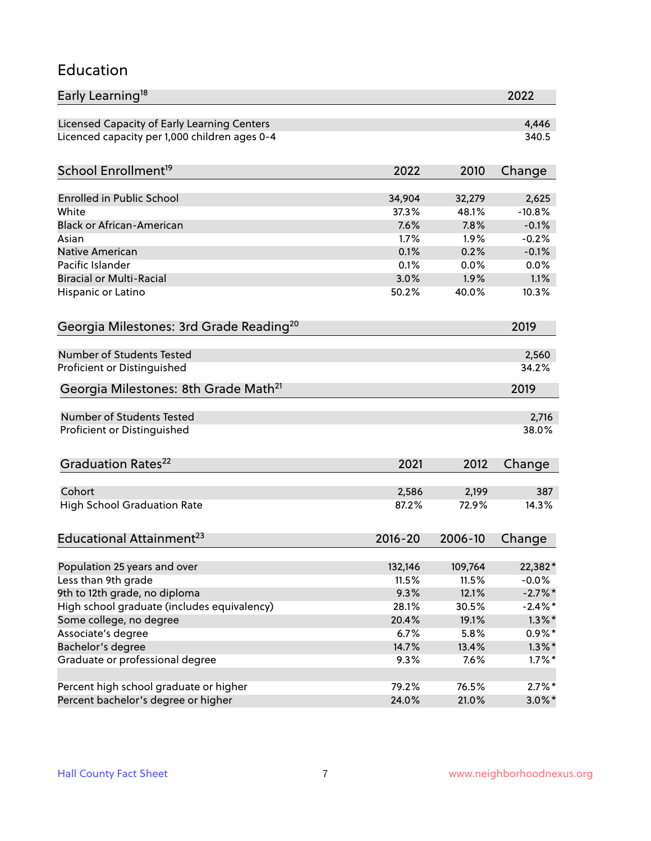#### Education

| Early Learning <sup>18</sup>                        |               |               | 2022          |
|-----------------------------------------------------|---------------|---------------|---------------|
| Licensed Capacity of Early Learning Centers         |               |               | 4,446         |
| Licenced capacity per 1,000 children ages 0-4       |               |               | 340.5         |
| School Enrollment <sup>19</sup>                     | 2022          | 2010          | Change        |
|                                                     |               |               |               |
| <b>Enrolled in Public School</b>                    | 34,904        | 32,279        | 2,625         |
| White<br><b>Black or African-American</b>           | 37.3%         | 48.1%         | $-10.8%$      |
|                                                     | 7.6%<br>1.7%  | 7.8%          | $-0.1%$       |
| Asian                                               |               | 1.9%          | $-0.2%$       |
| <b>Native American</b><br>Pacific Islander          | 0.1%<br>0.1%  | 0.2%          | $-0.1%$       |
|                                                     |               | 0.0%          | 0.0%          |
| <b>Biracial or Multi-Racial</b>                     | 3.0%<br>50.2% | 1.9%<br>40.0% | 1.1%<br>10.3% |
| Hispanic or Latino                                  |               |               |               |
| Georgia Milestones: 3rd Grade Reading <sup>20</sup> |               |               | 2019          |
| Number of Students Tested                           |               |               | 2,560         |
| Proficient or Distinguished                         |               |               | 34.2%         |
| Georgia Milestones: 8th Grade Math <sup>21</sup>    |               |               | 2019          |
| Number of Students Tested                           |               |               |               |
|                                                     |               |               | 2,716         |
| Proficient or Distinguished                         |               |               | 38.0%         |
| Graduation Rates <sup>22</sup>                      | 2021          | 2012          | Change        |
| Cohort                                              | 2,586         | 2,199         | 387           |
| <b>High School Graduation Rate</b>                  | 87.2%         | 72.9%         | 14.3%         |
| Educational Attainment <sup>23</sup>                | $2016 - 20$   | 2006-10       | Change        |
|                                                     |               |               |               |
| Population 25 years and over                        | 132,146       | 109,764       | 22,382*       |
| Less than 9th grade                                 | 11.5%         | 11.5%         | $-0.0\%$      |
| 9th to 12th grade, no diploma                       | 9.3%          | 12.1%         | $-2.7\%$ *    |
| High school graduate (includes equivalency)         | 28.1%         | 30.5%         | $-2.4\%$ *    |
| Some college, no degree                             | 20.4%         | 19.1%         | $1.3\%$ *     |
| Associate's degree                                  | 6.7%          | 5.8%          | $0.9\%*$      |
| Bachelor's degree                                   | 14.7%         | 13.4%         | $1.3\%$ *     |
| Graduate or professional degree                     | 9.3%          | 7.6%          | $1.7\%$ *     |
| Percent high school graduate or higher              | 79.2%         | 76.5%         | $2.7\%$ *     |
| Percent bachelor's degree or higher                 | 24.0%         | 21.0%         | $3.0\%$ *     |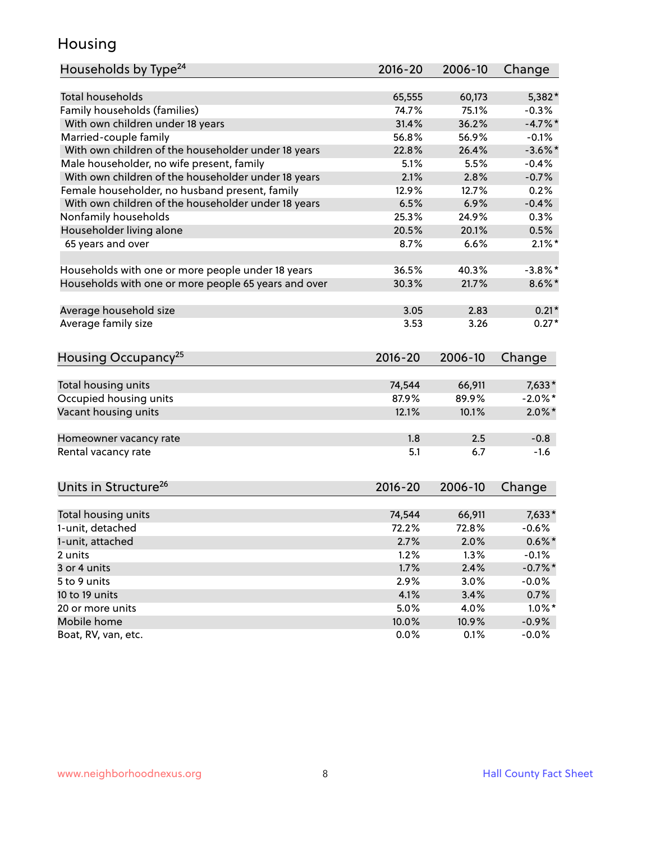### Housing

| Households by Type <sup>24</sup>                     | 2016-20     | 2006-10 | Change     |
|------------------------------------------------------|-------------|---------|------------|
|                                                      |             |         |            |
| <b>Total households</b>                              | 65,555      | 60,173  | 5,382*     |
| Family households (families)                         | 74.7%       | 75.1%   | $-0.3%$    |
| With own children under 18 years                     | 31.4%       | 36.2%   | $-4.7%$ *  |
| Married-couple family                                | 56.8%       | 56.9%   | $-0.1%$    |
| With own children of the householder under 18 years  | 22.8%       | 26.4%   | $-3.6\%$ * |
| Male householder, no wife present, family            | 5.1%        | 5.5%    | $-0.4%$    |
| With own children of the householder under 18 years  | 2.1%        | 2.8%    | $-0.7%$    |
| Female householder, no husband present, family       | 12.9%       | 12.7%   | 0.2%       |
| With own children of the householder under 18 years  | 6.5%        | 6.9%    | $-0.4%$    |
| Nonfamily households                                 | 25.3%       | 24.9%   | 0.3%       |
| Householder living alone                             | 20.5%       | 20.1%   | 0.5%       |
| 65 years and over                                    | 8.7%        | 6.6%    | $2.1\%$ *  |
| Households with one or more people under 18 years    | 36.5%       | 40.3%   | $-3.8\%$ * |
| Households with one or more people 65 years and over | 30.3%       | 21.7%   | $8.6\%$ *  |
|                                                      |             |         |            |
| Average household size                               | 3.05        | 2.83    | $0.21*$    |
| Average family size                                  | 3.53        | 3.26    | $0.27*$    |
| Housing Occupancy <sup>25</sup>                      | $2016 - 20$ | 2006-10 | Change     |
|                                                      |             |         |            |
| Total housing units                                  | 74,544      | 66,911  | $7,633*$   |
| Occupied housing units                               | 87.9%       | 89.9%   | $-2.0\%$ * |
| Vacant housing units                                 | 12.1%       | 10.1%   | $2.0\%$ *  |
| Homeowner vacancy rate                               | 1.8         | 2.5     | $-0.8$     |
| Rental vacancy rate                                  | 5.1         | 6.7     | $-1.6$     |
| Units in Structure <sup>26</sup>                     | $2016 - 20$ | 2006-10 | Change     |
| Total housing units                                  | 74,544      | 66,911  | $7,633*$   |
| 1-unit, detached                                     | 72.2%       | 72.8%   | $-0.6%$    |
|                                                      |             |         |            |
| 1-unit, attached                                     | 2.7%        | 2.0%    | $0.6\%$ *  |
| 2 units                                              | 1.2%        | 1.3%    | $-0.1%$    |
| 3 or 4 units                                         | 1.7%        | 2.4%    | $-0.7%$ *  |
| 5 to 9 units                                         | 2.9%        | 3.0%    | $-0.0%$    |
| 10 to 19 units                                       | 4.1%        | 3.4%    | 0.7%       |
| 20 or more units                                     | 5.0%        | 4.0%    | $1.0\%$ *  |
| Mobile home                                          | 10.0%       | 10.9%   | $-0.9\%$   |
| Boat, RV, van, etc.                                  | 0.0%        | 0.1%    | $-0.0%$    |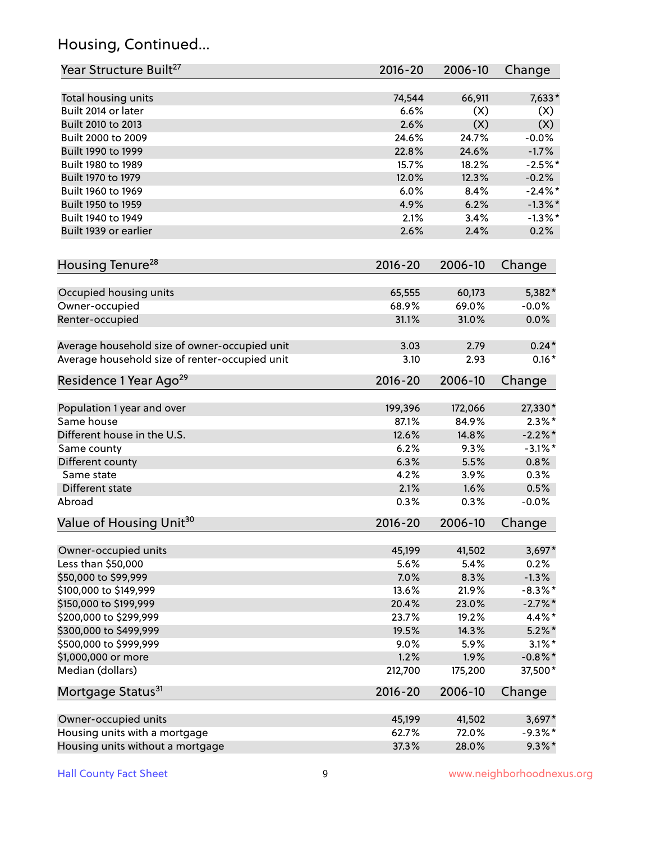# Housing, Continued...

| Year Structure Built <sup>27</sup>             | 2016-20 | 2006-10 | Change     |
|------------------------------------------------|---------|---------|------------|
| Total housing units                            | 74,544  | 66,911  | $7,633*$   |
| Built 2014 or later                            | 6.6%    | (X)     | (X)        |
| Built 2010 to 2013                             | 2.6%    | (X)     | (X)        |
| Built 2000 to 2009                             | 24.6%   | 24.7%   | $-0.0%$    |
| Built 1990 to 1999                             | 22.8%   | 24.6%   | $-1.7%$    |
| Built 1980 to 1989                             | 15.7%   | 18.2%   | $-2.5%$ *  |
| Built 1970 to 1979                             | 12.0%   | 12.3%   | $-0.2%$    |
| Built 1960 to 1969                             | 6.0%    | 8.4%    | $-2.4\%$ * |
| Built 1950 to 1959                             | 4.9%    | 6.2%    | $-1.3\%$ * |
| Built 1940 to 1949                             | 2.1%    | 3.4%    | $-1.3\%$ * |
| Built 1939 or earlier                          | 2.6%    | 2.4%    | 0.2%       |
| Housing Tenure <sup>28</sup>                   | 2016-20 | 2006-10 | Change     |
| Occupied housing units                         | 65,555  | 60,173  | 5,382*     |
| Owner-occupied                                 | 68.9%   | 69.0%   | $-0.0%$    |
| Renter-occupied                                | 31.1%   | 31.0%   | 0.0%       |
| Average household size of owner-occupied unit  | 3.03    | 2.79    | $0.24*$    |
| Average household size of renter-occupied unit | 3.10    | 2.93    | $0.16*$    |
| Residence 1 Year Ago <sup>29</sup>             | 2016-20 | 2006-10 | Change     |
| Population 1 year and over                     | 199,396 | 172,066 | 27,330*    |
| Same house                                     | 87.1%   | 84.9%   | $2.3\%$ *  |
| Different house in the U.S.                    | 12.6%   | 14.8%   | $-2.2\%$ * |
| Same county                                    | 6.2%    | 9.3%    | $-3.1\%$ * |
| Different county                               | 6.3%    | 5.5%    | 0.8%       |
| Same state                                     | 4.2%    | 3.9%    | 0.3%       |
| Different state                                | 2.1%    | 1.6%    | 0.5%       |
| Abroad                                         | 0.3%    | 0.3%    | $-0.0%$    |
| Value of Housing Unit <sup>30</sup>            | 2016-20 | 2006-10 | Change     |
| Owner-occupied units                           | 45,199  | 41,502  | $3,697*$   |
| Less than \$50,000                             | 5.6%    | 5.4%    | 0.2%       |
| \$50,000 to \$99,999                           | 7.0%    | 8.3%    | $-1.3%$    |
| \$100,000 to \$149,999                         | 13.6%   | 21.9%   | $-8.3\%$ * |
| \$150,000 to \$199,999                         | 20.4%   | 23.0%   | $-2.7\%$ * |
| \$200,000 to \$299,999                         | 23.7%   | 19.2%   | 4.4%*      |
| \$300,000 to \$499,999                         | 19.5%   | 14.3%   | $5.2\%$ *  |
| \$500,000 to \$999,999                         | 9.0%    | 5.9%    | $3.1\%$ *  |
| \$1,000,000 or more                            | 1.2%    | 1.9%    | $-0.8\%$ * |
| Median (dollars)                               | 212,700 | 175,200 | 37,500*    |
| Mortgage Status <sup>31</sup>                  | 2016-20 | 2006-10 | Change     |
| Owner-occupied units                           | 45,199  | 41,502  | $3,697*$   |
| Housing units with a mortgage                  | 62.7%   | 72.0%   | $-9.3\%$ * |
| Housing units without a mortgage               | 37.3%   | 28.0%   | $9.3\% *$  |
|                                                |         |         |            |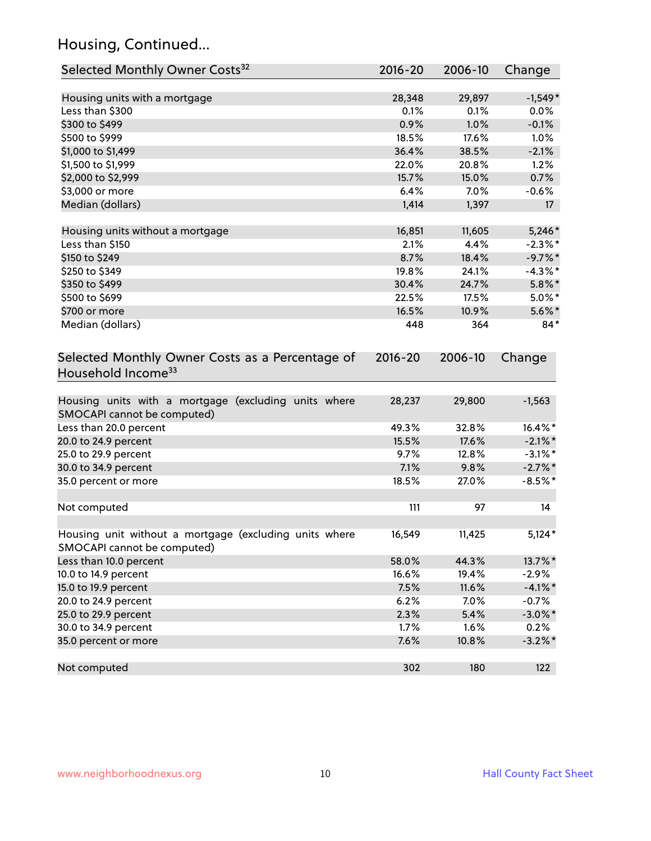# Housing, Continued...

| Selected Monthly Owner Costs <sup>32</sup>                                            | $2016 - 20$ | 2006-10 | Change     |
|---------------------------------------------------------------------------------------|-------------|---------|------------|
| Housing units with a mortgage                                                         | 28,348      | 29,897  | $-1,549*$  |
| Less than \$300                                                                       | 0.1%        | 0.1%    | 0.0%       |
| \$300 to \$499                                                                        | 0.9%        | 1.0%    | $-0.1%$    |
| \$500 to \$999                                                                        | 18.5%       | 17.6%   | 1.0%       |
| \$1,000 to \$1,499                                                                    | 36.4%       | 38.5%   | $-2.1%$    |
| \$1,500 to \$1,999                                                                    | 22.0%       | 20.8%   | 1.2%       |
| \$2,000 to \$2,999                                                                    | 15.7%       | 15.0%   | 0.7%       |
| \$3,000 or more                                                                       | 6.4%        | 7.0%    | $-0.6%$    |
| Median (dollars)                                                                      | 1,414       | 1,397   | 17         |
| Housing units without a mortgage                                                      | 16,851      | 11,605  | $5,246*$   |
| Less than \$150                                                                       | 2.1%        | 4.4%    | $-2.3\%$ * |
| \$150 to \$249                                                                        | 8.7%        | 18.4%   | $-9.7%$ *  |
| \$250 to \$349                                                                        | 19.8%       | 24.1%   | $-4.3\%$ * |
| \$350 to \$499                                                                        | 30.4%       | 24.7%   | $5.8\%$ *  |
| \$500 to \$699                                                                        | 22.5%       | 17.5%   | $5.0\%$ *  |
| \$700 or more                                                                         | 16.5%       | 10.9%   | $5.6\%$ *  |
| Median (dollars)                                                                      | 448         | 364     | $84*$      |
| Selected Monthly Owner Costs as a Percentage of<br>Household Income <sup>33</sup>     | $2016 - 20$ | 2006-10 | Change     |
| Housing units with a mortgage (excluding units where<br>SMOCAPI cannot be computed)   | 28,237      | 29,800  | $-1,563$   |
| Less than 20.0 percent                                                                | 49.3%       | 32.8%   | 16.4%*     |
| 20.0 to 24.9 percent                                                                  | 15.5%       | 17.6%   | $-2.1\%$ * |
| 25.0 to 29.9 percent                                                                  | 9.7%        | 12.8%   | $-3.1\%$ * |
| 30.0 to 34.9 percent                                                                  | 7.1%        | 9.8%    | $-2.7\%$ * |
| 35.0 percent or more                                                                  | 18.5%       | 27.0%   | $-8.5%$ *  |
| Not computed                                                                          | 111         | 97      | 14         |
| Housing unit without a mortgage (excluding units where<br>SMOCAPI cannot be computed) | 16,549      | 11,425  | $5,124*$   |
| Less than 10.0 percent                                                                | 58.0%       | 44.3%   | 13.7%*     |
| 10.0 to 14.9 percent                                                                  | 16.6%       | 19.4%   | $-2.9%$    |
| 15.0 to 19.9 percent                                                                  | 7.5%        | 11.6%   | $-4.1\%$ * |
| 20.0 to 24.9 percent                                                                  | 6.2%        | 7.0%    | $-0.7%$    |
| 25.0 to 29.9 percent                                                                  | 2.3%        | 5.4%    | $-3.0\%$ * |
| 30.0 to 34.9 percent                                                                  | 1.7%        | 1.6%    | 0.2%       |
| 35.0 percent or more                                                                  | 7.6%        | 10.8%   | $-3.2\%$ * |
| Not computed                                                                          | 302         | 180     | 122        |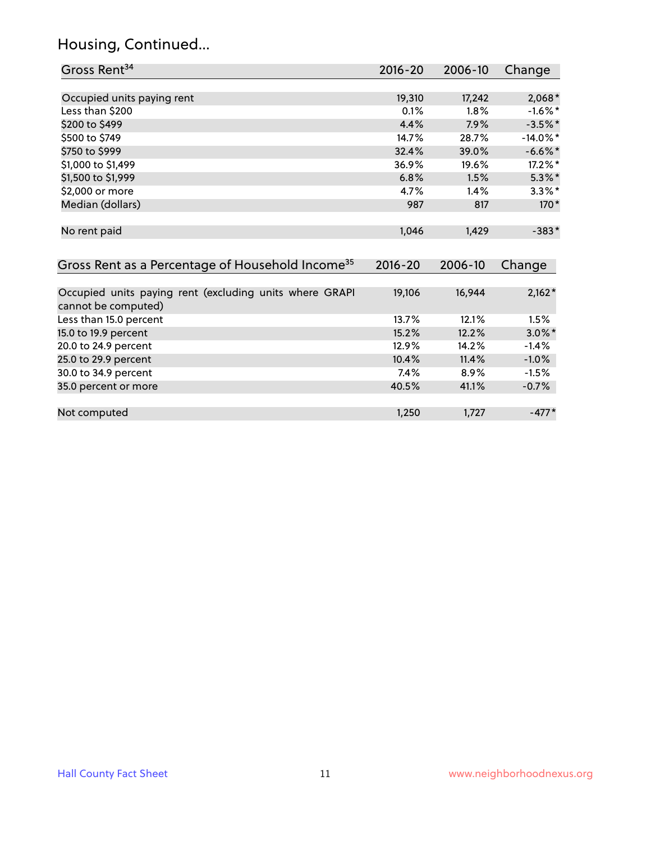# Housing, Continued...

| Gross Rent <sup>34</sup>                                                       | 2016-20     | 2006-10 | Change      |
|--------------------------------------------------------------------------------|-------------|---------|-------------|
|                                                                                |             |         |             |
| Occupied units paying rent                                                     | 19,310      | 17,242  | $2,068*$    |
| Less than \$200                                                                | 0.1%        | 1.8%    | $-1.6\%$ *  |
| \$200 to \$499                                                                 | 4.4%        | 7.9%    | $-3.5%$ *   |
| \$500 to \$749                                                                 | 14.7%       | 28.7%   | $-14.0\%$ * |
| \$750 to \$999                                                                 | 32.4%       | 39.0%   | $-6.6\%$ *  |
| \$1,000 to \$1,499                                                             | 36.9%       | 19.6%   | 17.2%*      |
| \$1,500 to \$1,999                                                             | 6.8%        | 1.5%    | $5.3\%$ *   |
| \$2,000 or more                                                                | 4.7%        | 1.4%    | $3.3\%$ *   |
| Median (dollars)                                                               | 987         | 817     | $170*$      |
| No rent paid                                                                   | 1,046       | 1,429   | $-383*$     |
| Gross Rent as a Percentage of Household Income <sup>35</sup>                   | $2016 - 20$ | 2006-10 | Change      |
| Occupied units paying rent (excluding units where GRAPI<br>cannot be computed) | 19,106      | 16,944  | $2,162*$    |
| Less than 15.0 percent                                                         | 13.7%       | 12.1%   | 1.5%        |
| 15.0 to 19.9 percent                                                           | 15.2%       | 12.2%   | $3.0\%$ *   |
| 20.0 to 24.9 percent                                                           | 12.9%       | 14.2%   | $-1.4%$     |
| 25.0 to 29.9 percent                                                           | 10.4%       | 11.4%   | $-1.0%$     |
| 30.0 to 34.9 percent                                                           | 7.4%        | 8.9%    | $-1.5%$     |
| 35.0 percent or more                                                           | 40.5%       | 41.1%   | $-0.7%$     |
| Not computed                                                                   | 1,250       | 1,727   | $-477*$     |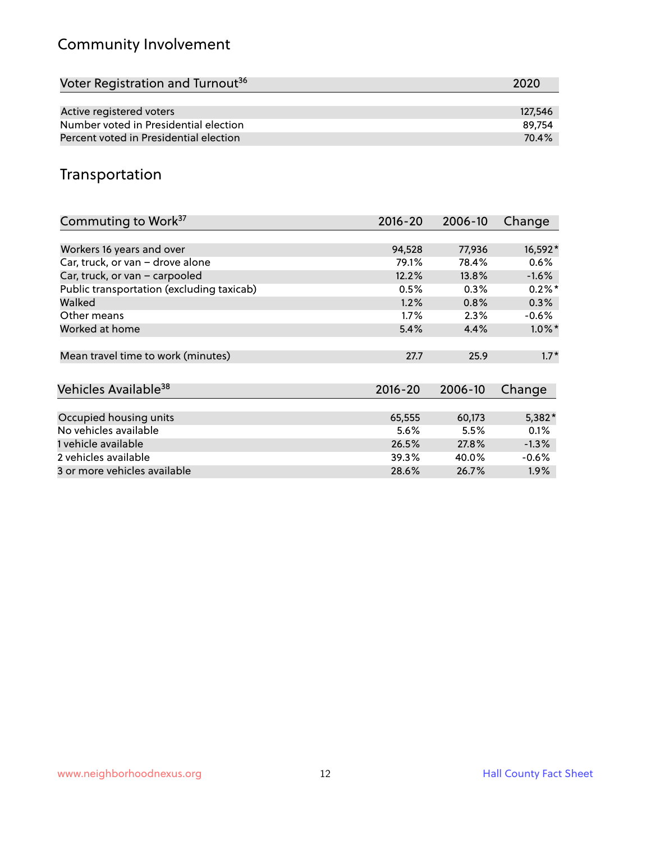# Community Involvement

| Voter Registration and Turnout <sup>36</sup> | 2020    |
|----------------------------------------------|---------|
|                                              |         |
| Active registered voters                     | 127,546 |
| Number voted in Presidential election        | 89.754  |
| Percent voted in Presidential election       | 70.4%   |

## Transportation

| Commuting to Work <sup>37</sup>           | 2016-20     | 2006-10 | Change    |
|-------------------------------------------|-------------|---------|-----------|
|                                           |             |         |           |
| Workers 16 years and over                 | 94,528      | 77,936  | 16,592*   |
| Car, truck, or van - drove alone          | 79.1%       | 78.4%   | $0.6\%$   |
| Car, truck, or van - carpooled            | 12.2%       | 13.8%   | $-1.6%$   |
| Public transportation (excluding taxicab) | 0.5%        | 0.3%    | $0.2\%$ * |
| Walked                                    | 1.2%        | 0.8%    | 0.3%      |
| Other means                               | 1.7%        | 2.3%    | $-0.6\%$  |
| Worked at home                            | 5.4%        | 4.4%    | $1.0\%$ * |
|                                           |             |         |           |
| Mean travel time to work (minutes)        | 27.7        | 25.9    | $1.7*$    |
|                                           |             |         |           |
| Vehicles Available <sup>38</sup>          | $2016 - 20$ | 2006-10 | Change    |
|                                           |             |         |           |
| Occupied housing units                    | 65,555      | 60,173  | $5,382*$  |
| No vehicles available                     | 5.6%        | 5.5%    | 0.1%      |
| 1 vehicle available                       | 26.5%       | 27.8%   | $-1.3%$   |
| 2 vehicles available                      | 39.3%       | 40.0%   | $-0.6%$   |
| 3 or more vehicles available              | 28.6%       | 26.7%   | $1.9\%$   |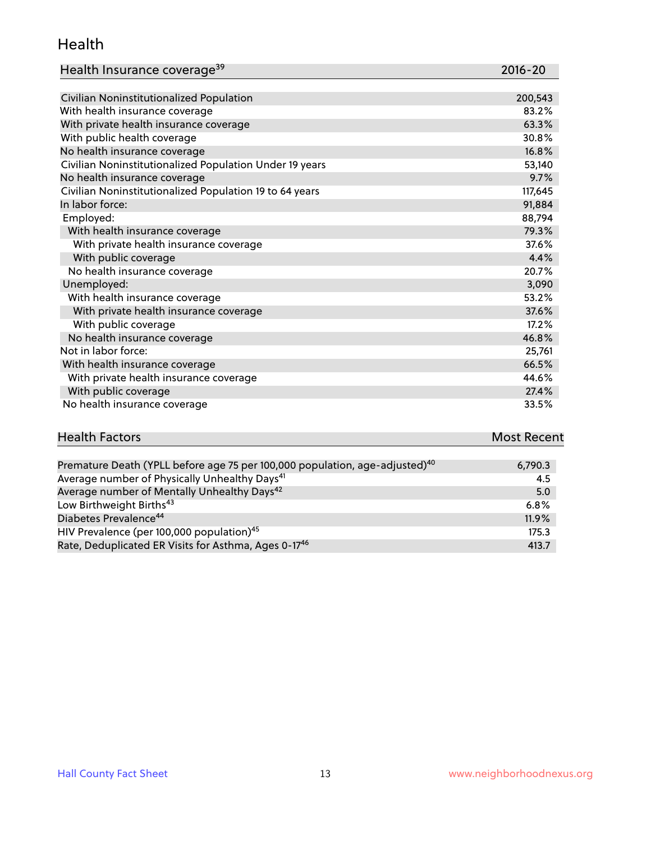#### Health

| Health Insurance coverage <sup>39</sup> | 2016-20 |
|-----------------------------------------|---------|
|-----------------------------------------|---------|

| Civilian Noninstitutionalized Population                | 200,543 |
|---------------------------------------------------------|---------|
| With health insurance coverage                          | 83.2%   |
| With private health insurance coverage                  | 63.3%   |
| With public health coverage                             | 30.8%   |
| No health insurance coverage                            | 16.8%   |
| Civilian Noninstitutionalized Population Under 19 years | 53,140  |
| No health insurance coverage                            | 9.7%    |
| Civilian Noninstitutionalized Population 19 to 64 years | 117,645 |
| In labor force:                                         | 91,884  |
| Employed:                                               | 88,794  |
| With health insurance coverage                          | 79.3%   |
| With private health insurance coverage                  | 37.6%   |
| With public coverage                                    | 4.4%    |
| No health insurance coverage                            | 20.7%   |
| Unemployed:                                             | 3,090   |
| With health insurance coverage                          | 53.2%   |
| With private health insurance coverage                  | 37.6%   |
| With public coverage                                    | 17.2%   |
| No health insurance coverage                            | 46.8%   |
| Not in labor force:                                     | 25,761  |
| With health insurance coverage                          | 66.5%   |
| With private health insurance coverage                  | 44.6%   |
| With public coverage                                    | 27.4%   |
| No health insurance coverage                            | 33.5%   |

| <b>Health Factors</b> | <b>Most Recent</b> |
|-----------------------|--------------------|
|                       |                    |

| Premature Death (YPLL before age 75 per 100,000 population, age-adjusted) <sup>40</sup> | 6,790.3 |
|-----------------------------------------------------------------------------------------|---------|
| Average number of Physically Unhealthy Days <sup>41</sup>                               | 4.5     |
| Average number of Mentally Unhealthy Days <sup>42</sup>                                 | 5.0     |
| Low Birthweight Births <sup>43</sup>                                                    | 6.8%    |
| Diabetes Prevalence <sup>44</sup>                                                       | 11.9%   |
| HIV Prevalence (per 100,000 population) <sup>45</sup>                                   | 175.3   |
| Rate, Deduplicated ER Visits for Asthma, Ages 0-17 <sup>46</sup>                        | 413.7   |